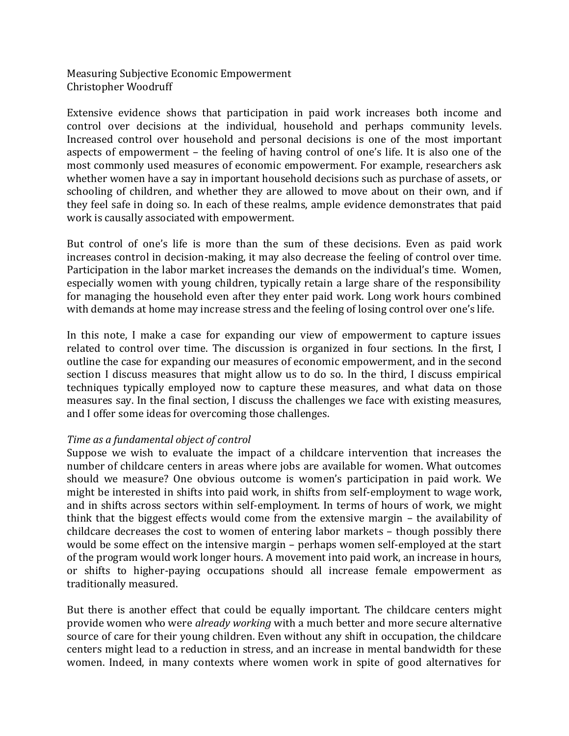Measuring Subjective Economic Empowerment Christopher Woodruff

Extensive evidence shows that participation in paid work increases both income and control over decisions at the individual, household and perhaps community levels. Increased control over household and personal decisions is one of the most important aspects of empowerment – the feeling of having control of one's life. It is also one of the most commonly used measures of economic empowerment. For example, researchers ask whether women have a say in important household decisions such as purchase of assets, or schooling of children, and whether they are allowed to move about on their own, and if they feel safe in doing so. In each of these realms, ample evidence demonstrates that paid work is causally associated with empowerment.

But control of one's life is more than the sum of these decisions. Even as paid work increases control in decision-making, it may also decrease the feeling of control over time. Participation in the labor market increases the demands on the individual's time. Women, especially women with young children, typically retain a large share of the responsibility for managing the household even after they enter paid work. Long work hours combined with demands at home may increase stress and the feeling of losing control over one's life.

In this note, I make a case for expanding our view of empowerment to capture issues related to control over time. The discussion is organized in four sections. In the first, I outline the case for expanding our measures of economic empowerment, and in the second section I discuss measures that might allow us to do so. In the third, I discuss empirical techniques typically employed now to capture these measures, and what data on those measures say. In the final section, I discuss the challenges we face with existing measures, and I offer some ideas for overcoming those challenges.

# *Time as a fundamental object of control*

Suppose we wish to evaluate the impact of a childcare intervention that increases the number of childcare centers in areas where jobs are available for women. What outcomes should we measure? One obvious outcome is women's participation in paid work. We might be interested in shifts into paid work, in shifts from self-employment to wage work, and in shifts across sectors within self-employment. In terms of hours of work, we might think that the biggest effects would come from the extensive margin – the availability of childcare decreases the cost to women of entering labor markets – though possibly there would be some effect on the intensive margin – perhaps women self-employed at the start of the program would work longer hours. A movement into paid work, an increase in hours, or shifts to higher-paying occupations should all increase female empowerment as traditionally measured.

But there is another effect that could be equally important. The childcare centers might provide women who were *already working* with a much better and more secure alternative source of care for their young children. Even without any shift in occupation, the childcare centers might lead to a reduction in stress, and an increase in mental bandwidth for these women. Indeed, in many contexts where women work in spite of good alternatives for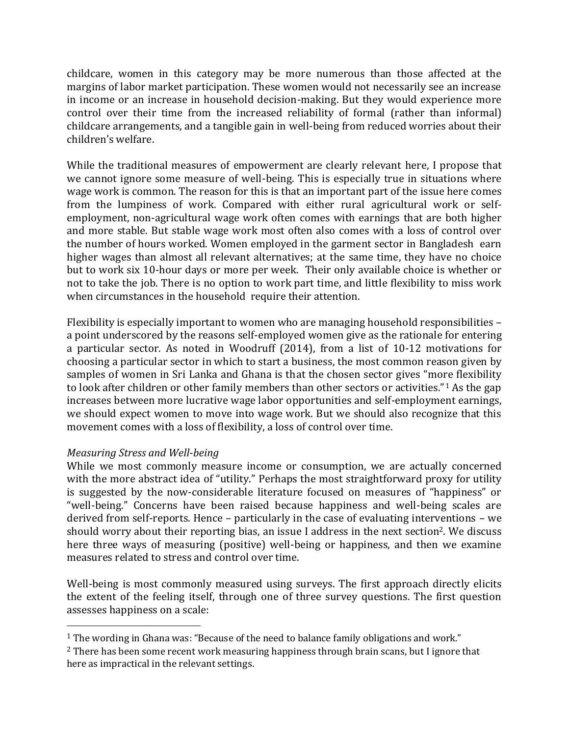childcare, women in this category may be more numerous than those affected at the margins of labor market participation. These women would not necessarily see an increase in income or an increase in household decision-making. But they would experience more control over their time from the increased reliability of formal (rather than informal) childcare arrangements, and a tangible gain in well-being from reduced worries about their children's welfare.

While the traditional measures of empowerment are clearly relevant here, I propose that we cannot ignore some measure of well-being. This is especially true in situations where wage work is common. The reason for this is that an important part of the issue here comes from the lumpiness of work. Compared with either rural agricultural work or selfemployment, non-agricultural wage work often comes with earnings that are both higher and more stable. But stable wage work most often also comes with a loss of control over the number of hours worked. Women employed in the garment sector in Bangladesh earn higher wages than almost all relevant alternatives; at the same time, they have no choice but to work six 10-hour days or more per week. Their only available choice is whether or not to take the job. There is no option to work part time, and little flexibility to miss work when circumstances in the household require their attention.

Flexibility is especially important to women who are managing household responsibilities – a point underscored by the reasons self-employed women give as the rationale for entering a particular sector. As noted in Woodruff (2014), from a list of 10-12 motivations for choosing a particular sector in which to start a business, the most common reason given by samples of women in Sri Lanka and Ghana is that the chosen sector gives "more flexibility to look after children or other family members than other sectors or activities."<sup>1</sup> As the gap increases between more lucrative wage labor opportunities and self-employment earnings, we should expect women to move into wage work. But we should also recognize that this movement comes with a loss of flexibility, a loss of control over time.

# *Measuring Stress and Well-being*

 $\overline{a}$ 

While we most commonly measure income or consumption, we are actually concerned with the more abstract idea of "utility." Perhaps the most straightforward proxy for utility is suggested by the now-considerable literature focused on measures of "happiness" or "well-being." Concerns have been raised because happiness and well-being scales are derived from self-reports. Hence – particularly in the case of evaluating interventions – we should worry about their reporting bias, an issue I address in the next section<sup>2</sup>. We discuss here three ways of measuring (positive) well-being or happiness, and then we examine measures related to stress and control over time.

Well-being is most commonly measured using surveys. The first approach directly elicits the extent of the feeling itself, through one of three survey questions. The first question assesses happiness on a scale:

<sup>&</sup>lt;sup>1</sup> The wording in Ghana was: "Because of the need to balance family obligations and work."

 $<sup>2</sup>$  There has been some recent work measuring happiness through brain scans, but I ignore that</sup> here as impractical in the relevant settings.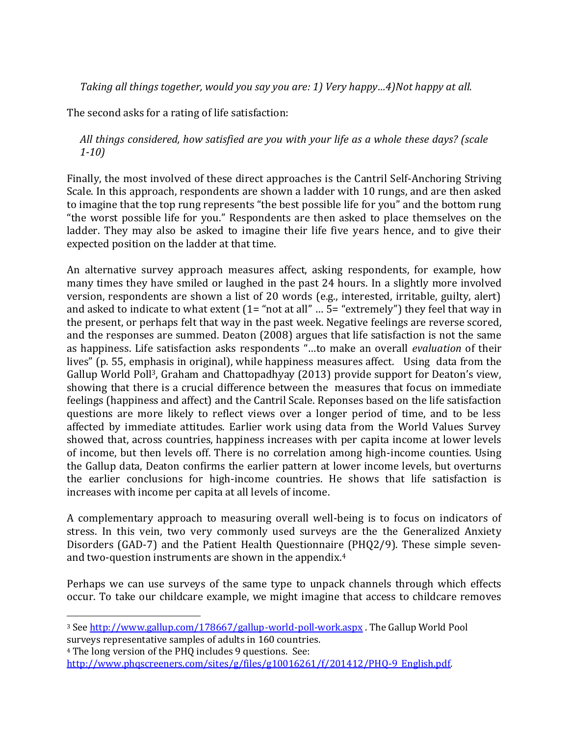*Taking all things together, would you say you are: 1) Very happy…4)Not happy at all.* 

The second asks for a rating of life satisfaction:

# *All things considered, how satisfied are you with your life as a whole these days? (scale 1-10)*

Finally, the most involved of these direct approaches is the Cantril Self-Anchoring Striving Scale. In this approach, respondents are shown a ladder with 10 rungs, and are then asked to imagine that the top rung represents "the best possible life for you" and the bottom rung "the worst possible life for you." Respondents are then asked to place themselves on the ladder. They may also be asked to imagine their life five years hence, and to give their expected position on the ladder at that time.

An alternative survey approach measures affect, asking respondents, for example, how many times they have smiled or laughed in the past 24 hours. In a slightly more involved version, respondents are shown a list of 20 words (e.g., interested, irritable, guilty, alert) and asked to indicate to what extent (1= "not at all" … 5= "extremely") they feel that way in the present, or perhaps felt that way in the past week. Negative feelings are reverse scored, and the responses are summed. Deaton (2008) argues that life satisfaction is not the same as happiness. Life satisfaction asks respondents "…to make an overall *evaluation* of their lives" (p. 55, emphasis in original), while happiness measures affect. Using data from the Gallup World Poll3, Graham and Chattopadhyay (2013) provide support for Deaton's view, showing that there is a crucial difference between the measures that focus on immediate feelings (happiness and affect) and the Cantril Scale. Reponses based on the life satisfaction questions are more likely to reflect views over a longer period of time, and to be less affected by immediate attitudes. Earlier work using data from the World Values Survey showed that, across countries, happiness increases with per capita income at lower levels of income, but then levels off. There is no correlation among high-income counties. Using the Gallup data, Deaton confirms the earlier pattern at lower income levels, but overturns the earlier conclusions for high-income countries. He shows that life satisfaction is increases with income per capita at all levels of income.

A complementary approach to measuring overall well-being is to focus on indicators of stress. In this vein, two very commonly used surveys are the the Generalized Anxiety Disorders (GAD-7) and the Patient Health Questionnaire (PHQ2/9). These simple sevenand two-question instruments are shown in the appendix.<sup>4</sup>

Perhaps we can use surveys of the same type to unpack channels through which effects occur. To take our childcare example, we might imagine that access to childcare removes

<sup>4</sup> The long version of the PHQ includes 9 questions. See: [http://www.phqscreeners.com/sites/g/files/g10016261/f/201412/PHQ-9\\_English.pdf.](http://www.phqscreeners.com/sites/g/files/g10016261/f/201412/PHQ-9_English.pdf)

 $\overline{a}$ 

<sup>3</sup> See<http://www.gallup.com/178667/gallup-world-poll-work.aspx> . The Gallup World Pool surveys representative samples of adults in 160 countries.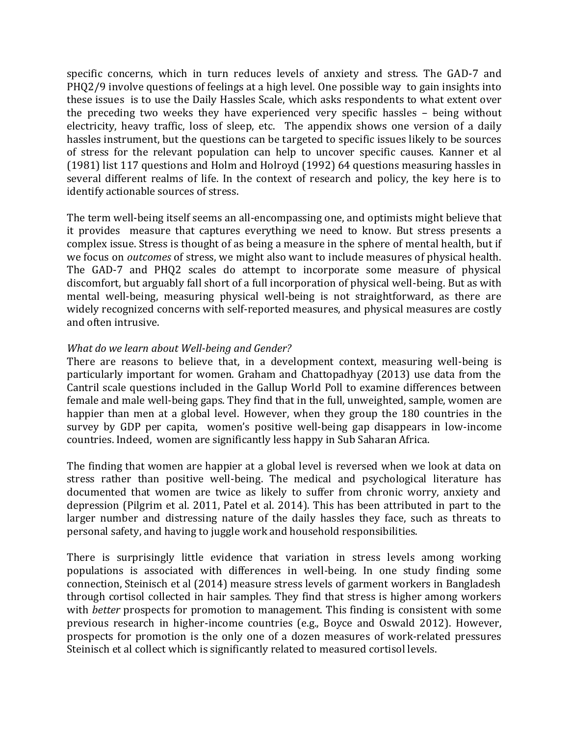specific concerns, which in turn reduces levels of anxiety and stress. The GAD-7 and PHQ2/9 involve questions of feelings at a high level. One possible way to gain insights into these issues is to use the Daily Hassles Scale, which asks respondents to what extent over the preceding two weeks they have experienced very specific hassles – being without electricity, heavy traffic, loss of sleep, etc. The appendix shows one version of a daily hassles instrument, but the questions can be targeted to specific issues likely to be sources of stress for the relevant population can help to uncover specific causes. Kanner et al (1981) list 117 questions and Holm and Holroyd (1992) 64 questions measuring hassles in several different realms of life. In the context of research and policy, the key here is to identify actionable sources of stress.

The term well-being itself seems an all-encompassing one, and optimists might believe that it provides measure that captures everything we need to know. But stress presents a complex issue. Stress is thought of as being a measure in the sphere of mental health, but if we focus on *outcomes* of stress, we might also want to include measures of physical health. The GAD-7 and PHQ2 scales do attempt to incorporate some measure of physical discomfort, but arguably fall short of a full incorporation of physical well-being. But as with mental well-being, measuring physical well-being is not straightforward, as there are widely recognized concerns with self-reported measures, and physical measures are costly and often intrusive.

# *What do we learn about Well-being and Gender?*

There are reasons to believe that, in a development context, measuring well-being is particularly important for women. Graham and Chattopadhyay (2013) use data from the Cantril scale questions included in the Gallup World Poll to examine differences between female and male well-being gaps. They find that in the full, unweighted, sample, women are happier than men at a global level. However, when they group the 180 countries in the survey by GDP per capita, women's positive well-being gap disappears in low-income countries. Indeed, women are significantly less happy in Sub Saharan Africa.

The finding that women are happier at a global level is reversed when we look at data on stress rather than positive well-being. The medical and psychological literature has documented that women are twice as likely to suffer from chronic worry, anxiety and depression (Pilgrim et al. 2011, Patel et al. 2014). This has been attributed in part to the larger number and distressing nature of the daily hassles they face, such as threats to personal safety, and having to juggle work and household responsibilities.

There is surprisingly little evidence that variation in stress levels among working populations is associated with differences in well-being. In one study finding some connection, Steinisch et al (2014) measure stress levels of garment workers in Bangladesh through cortisol collected in hair samples. They find that stress is higher among workers with *better* prospects for promotion to management. This finding is consistent with some previous research in higher-income countries (e.g., Boyce and Oswald 2012). However, prospects for promotion is the only one of a dozen measures of work-related pressures Steinisch et al collect which is significantly related to measured cortisol levels.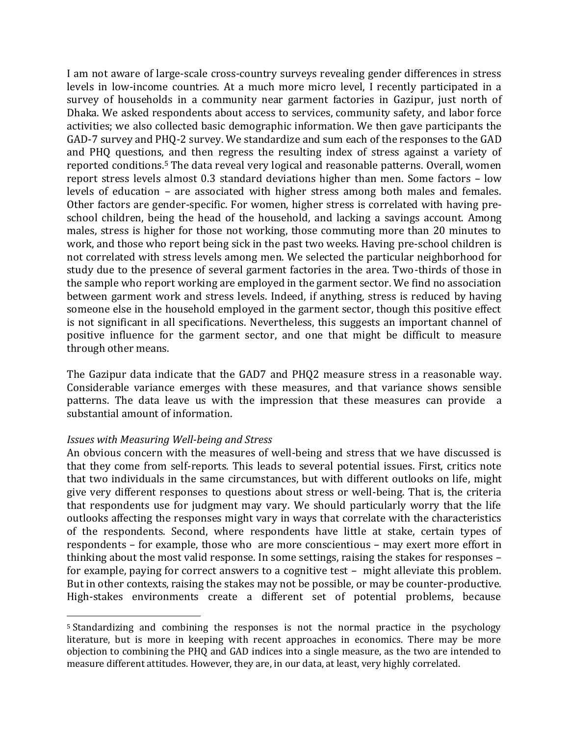I am not aware of large-scale cross-country surveys revealing gender differences in stress levels in low-income countries. At a much more micro level, I recently participated in a survey of households in a community near garment factories in Gazipur, just north of Dhaka. We asked respondents about access to services, community safety, and labor force activities; we also collected basic demographic information. We then gave participants the GAD-7 survey and PHQ-2 survey. We standardize and sum each of the responses to the GAD and PHQ questions, and then regress the resulting index of stress against a variety of reported conditions.<sup>5</sup> The data reveal very logical and reasonable patterns. Overall, women report stress levels almost 0.3 standard deviations higher than men. Some factors – low levels of education – are associated with higher stress among both males and females. Other factors are gender-specific. For women, higher stress is correlated with having preschool children, being the head of the household, and lacking a savings account. Among males, stress is higher for those not working, those commuting more than 20 minutes to work, and those who report being sick in the past two weeks. Having pre-school children is not correlated with stress levels among men. We selected the particular neighborhood for study due to the presence of several garment factories in the area. Two-thirds of those in the sample who report working are employed in the garment sector. We find no association between garment work and stress levels. Indeed, if anything, stress is reduced by having someone else in the household employed in the garment sector, though this positive effect is not significant in all specifications. Nevertheless, this suggests an important channel of positive influence for the garment sector, and one that might be difficult to measure through other means.

The Gazipur data indicate that the GAD7 and PHQ2 measure stress in a reasonable way. Considerable variance emerges with these measures, and that variance shows sensible patterns. The data leave us with the impression that these measures can provide a substantial amount of information.

#### *Issues with Measuring Well-being and Stress*

 $\overline{a}$ 

An obvious concern with the measures of well-being and stress that we have discussed is that they come from self-reports. This leads to several potential issues. First, critics note that two individuals in the same circumstances, but with different outlooks on life, might give very different responses to questions about stress or well-being. That is, the criteria that respondents use for judgment may vary. We should particularly worry that the life outlooks affecting the responses might vary in ways that correlate with the characteristics of the respondents. Second, where respondents have little at stake, certain types of respondents – for example, those who are more conscientious – may exert more effort in thinking about the most valid response. In some settings, raising the stakes for responses – for example, paying for correct answers to a cognitive test – might alleviate this problem. But in other contexts, raising the stakes may not be possible, or may be counter-productive. High-stakes environments create a different set of potential problems, because

<sup>5</sup> Standardizing and combining the responses is not the normal practice in the psychology literature, but is more in keeping with recent approaches in economics. There may be more objection to combining the PHQ and GAD indices into a single measure, as the two are intended to measure different attitudes. However, they are, in our data, at least, very highly correlated.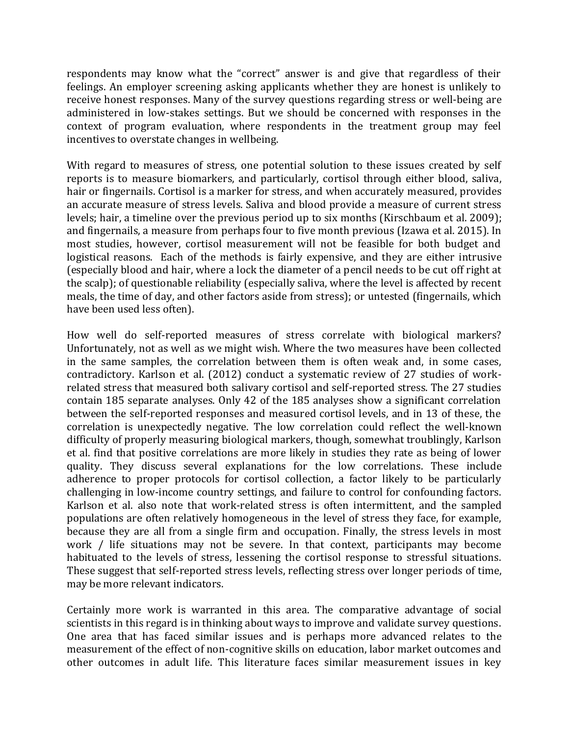respondents may know what the "correct" answer is and give that regardless of their feelings. An employer screening asking applicants whether they are honest is unlikely to receive honest responses. Many of the survey questions regarding stress or well-being are administered in low-stakes settings. But we should be concerned with responses in the context of program evaluation, where respondents in the treatment group may feel incentives to overstate changes in wellbeing.

With regard to measures of stress, one potential solution to these issues created by self reports is to measure biomarkers, and particularly, cortisol through either blood, saliva, hair or fingernails. Cortisol is a marker for stress, and when accurately measured, provides an accurate measure of stress levels. Saliva and blood provide a measure of current stress levels; hair, a timeline over the previous period up to six months (Kirschbaum et al. 2009); and fingernails, a measure from perhaps four to five month previous (Izawa et al. 2015). In most studies, however, cortisol measurement will not be feasible for both budget and logistical reasons. Each of the methods is fairly expensive, and they are either intrusive (especially blood and hair, where a lock the diameter of a pencil needs to be cut off right at the scalp); of questionable reliability (especially saliva, where the level is affected by recent meals, the time of day, and other factors aside from stress); or untested (fingernails, which have been used less often).

How well do self-reported measures of stress correlate with biological markers? Unfortunately, not as well as we might wish. Where the two measures have been collected in the same samples, the correlation between them is often weak and, in some cases, contradictory. Karlson et al. (2012) conduct a systematic review of 27 studies of workrelated stress that measured both salivary cortisol and self-reported stress. The 27 studies contain 185 separate analyses. Only 42 of the 185 analyses show a significant correlation between the self-reported responses and measured cortisol levels, and in 13 of these, the correlation is unexpectedly negative. The low correlation could reflect the well-known difficulty of properly measuring biological markers, though, somewhat troublingly, Karlson et al. find that positive correlations are more likely in studies they rate as being of lower quality. They discuss several explanations for the low correlations. These include adherence to proper protocols for cortisol collection, a factor likely to be particularly challenging in low-income country settings, and failure to control for confounding factors. Karlson et al. also note that work-related stress is often intermittent, and the sampled populations are often relatively homogeneous in the level of stress they face, for example, because they are all from a single firm and occupation. Finally, the stress levels in most work / life situations may not be severe. In that context, participants may become habituated to the levels of stress, lessening the cortisol response to stressful situations. These suggest that self-reported stress levels, reflecting stress over longer periods of time, may be more relevant indicators.

Certainly more work is warranted in this area. The comparative advantage of social scientists in this regard is in thinking about ways to improve and validate survey questions. One area that has faced similar issues and is perhaps more advanced relates to the measurement of the effect of non-cognitive skills on education, labor market outcomes and other outcomes in adult life. This literature faces similar measurement issues in key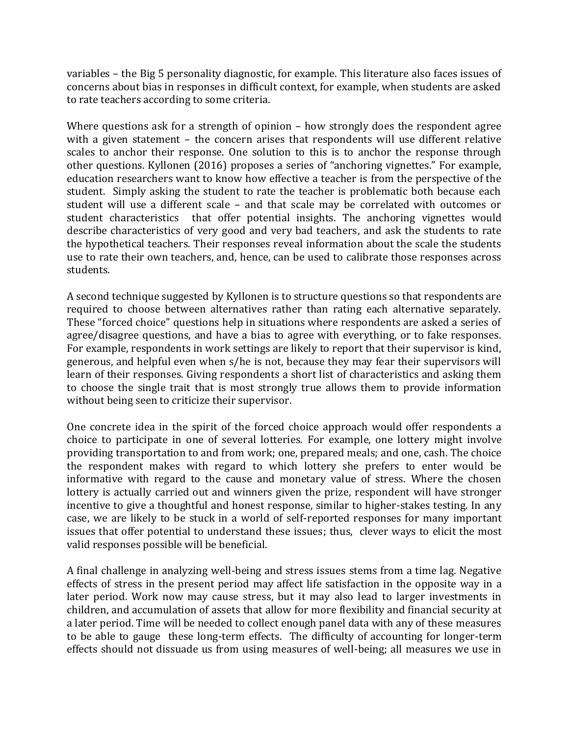variables – the Big 5 personality diagnostic, for example. This literature also faces issues of concerns about bias in responses in difficult context, for example, when students are asked to rate teachers according to some criteria.

Where questions ask for a strength of opinion – how strongly does the respondent agree with a given statement – the concern arises that respondents will use different relative scales to anchor their response. One solution to this is to anchor the response through other questions. Kyllonen (2016) proposes a series of "anchoring vignettes." For example, education researchers want to know how effective a teacher is from the perspective of the student. Simply asking the student to rate the teacher is problematic both because each student will use a different scale – and that scale may be correlated with outcomes or student characteristics that offer potential insights. The anchoring vignettes would describe characteristics of very good and very bad teachers, and ask the students to rate the hypothetical teachers. Their responses reveal information about the scale the students use to rate their own teachers, and, hence, can be used to calibrate those responses across students.

A second technique suggested by Kyllonen is to structure questions so that respondents are required to choose between alternatives rather than rating each alternative separately. These "forced choice" questions help in situations where respondents are asked a series of agree/disagree questions, and have a bias to agree with everything, or to fake responses. For example, respondents in work settings are likely to report that their supervisor is kind, generous, and helpful even when s/he is not, because they may fear their supervisors will learn of their responses. Giving respondents a short list of characteristics and asking them to choose the single trait that is most strongly true allows them to provide information without being seen to criticize their supervisor.

One concrete idea in the spirit of the forced choice approach would offer respondents a choice to participate in one of several lotteries. For example, one lottery might involve providing transportation to and from work; one, prepared meals; and one, cash. The choice the respondent makes with regard to which lottery she prefers to enter would be informative with regard to the cause and monetary value of stress. Where the chosen lottery is actually carried out and winners given the prize, respondent will have stronger incentive to give a thoughtful and honest response, similar to higher-stakes testing. In any case, we are likely to be stuck in a world of self-reported responses for many important issues that offer potential to understand these issues; thus, clever ways to elicit the most valid responses possible will be beneficial.

A final challenge in analyzing well-being and stress issues stems from a time lag. Negative effects of stress in the present period may affect life satisfaction in the opposite way in a later period. Work now may cause stress, but it may also lead to larger investments in children, and accumulation of assets that allow for more flexibility and financial security at a later period. Time will be needed to collect enough panel data with any of these measures to be able to gauge these long-term effects. The difficulty of accounting for longer-term effects should not dissuade us from using measures of well-being; all measures we use in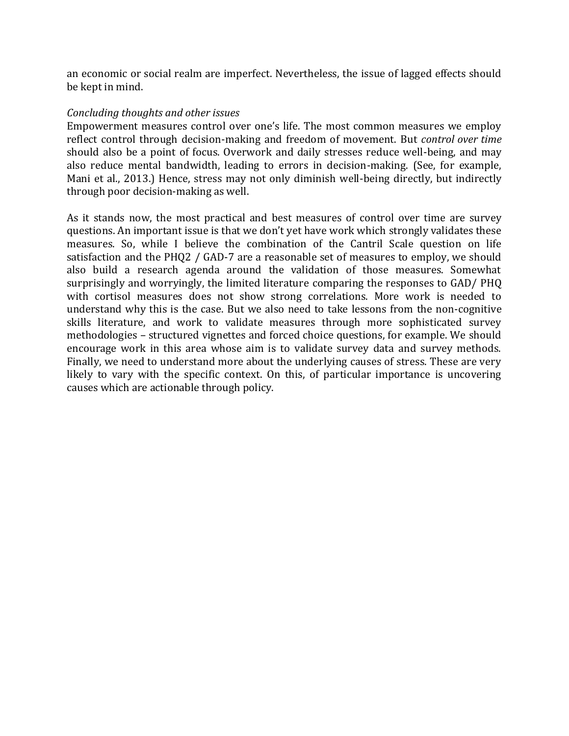an economic or social realm are imperfect. Nevertheless, the issue of lagged effects should be kept in mind.

# *Concluding thoughts and other issues*

Empowerment measures control over one's life. The most common measures we employ reflect control through decision-making and freedom of movement. But *control over time* should also be a point of focus. Overwork and daily stresses reduce well-being, and may also reduce mental bandwidth, leading to errors in decision-making. (See, for example, Mani et al., 2013.) Hence, stress may not only diminish well-being directly, but indirectly through poor decision-making as well.

As it stands now, the most practical and best measures of control over time are survey questions. An important issue is that we don't yet have work which strongly validates these measures. So, while I believe the combination of the Cantril Scale question on life satisfaction and the PHQ2 / GAD-7 are a reasonable set of measures to employ, we should also build a research agenda around the validation of those measures. Somewhat surprisingly and worryingly, the limited literature comparing the responses to GAD/ PHQ with cortisol measures does not show strong correlations. More work is needed to understand why this is the case. But we also need to take lessons from the non-cognitive skills literature, and work to validate measures through more sophisticated survey methodologies – structured vignettes and forced choice questions, for example. We should encourage work in this area whose aim is to validate survey data and survey methods. Finally, we need to understand more about the underlying causes of stress. These are very likely to vary with the specific context. On this, of particular importance is uncovering causes which are actionable through policy.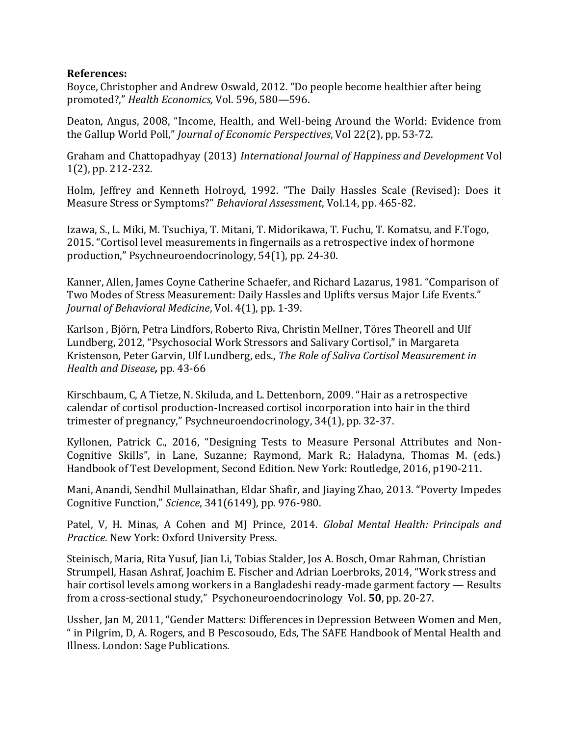# **References:**

Boyce, Christopher and Andrew Oswald, 2012. "Do people become healthier after being promoted?," *Health Economics,* Vol. 596, 580—596.

Deaton, Angus, 2008, "Income, Health, and Well-being Around the World: Evidence from the Gallup World Poll," *Journal of Economic Perspectives*, Vol 22(2), pp. 53-72.

Graham and Chattopadhyay (2013) *International Journal of Happiness and Development* Vol 1(2), pp. 212-232.

Holm, Jeffrey and Kenneth Holroyd, 1992. "The Daily Hassles Scale (Revised): Does it Measure Stress or Symptoms?" *Behavioral Assessment*, Vol.14, pp. 465-82.

Izawa, S., L. Miki, M. Tsuchiya, T. Mitani, T. Midorikawa, T. Fuchu, T. Komatsu, and F.Togo, 2015. "Cortisol level measurements in fingernails as a retrospective index of hormone production," Psychneuroendocrinology, 54(1), pp. 24-30.

Kanner, Allen, James Coyne Catherine Schaefer, and Richard Lazarus, 1981. "Comparison of Two Modes of Stress Measurement: Daily Hassles and Uplifts versus Major Life Events." *Journal of Behavioral Medicine*, Vol. 4(1), pp. 1-39.

Karlson , Björn, Petra Lindfors, Roberto Riva, Christin Mellner, Töres Theorell and Ulf Lundberg, 2012, "Psychosocial Work Stressors and Salivary Cortisol," in Margareta Kristenson, Peter Garvin, Ulf Lundberg, eds., *The Role of Saliva Cortisol Measurement in Health and Disease,* pp. 43-66

Kirschbaum, C, A Tietze, N. Skiluda, and L. Dettenborn, 2009. "Hair as a retrospective calendar of cortisol production-Increased cortisol incorporation into hair in the third trimester of pregnancy," Psychneuroendocrinology, 34(1), pp. 32-37.

Kyllonen, Patrick C., 2016, "Designing Tests to Measure Personal Attributes and Non-Cognitive Skills", in Lane, Suzanne; Raymond, Mark R.; Haladyna, Thomas M. (eds.) Handbook of Test Development, Second Edition. New York: Routledge, 2016, p190-211.

Mani, Anandi, Sendhil Mullainathan, Eldar Shafir, and Jiaying Zhao, 2013. "Poverty Impedes Cognitive Function," *Science*, 341(6149), pp. 976-980.

Patel, V, H. Minas, A Cohen and MJ Prince, 2014. *Global Mental Health: Principals and Practice*. New York: Oxford University Press.

Steinisch, Maria, Rita Yusuf, Jian Li, Tobias Stalder, Jos A. Bosch, Omar Rahman, Christian Strumpell, Hasan Ashraf, Joachim E. Fischer and Adrian Loerbroks, 2014, "Work stress and hair cortisol levels among workers in a Bangladeshi ready-made garment factory — Results from a cross-sectional study," Psychoneuroendocrinology Vol. **50**, pp. 20-27.

Ussher, Jan M, 2011, "Gender Matters: Differences in Depression Between Women and Men, " in Pilgrim, D, A. Rogers, and B Pescosoudo, Eds, The SAFE Handbook of Mental Health and Illness. London: Sage Publications.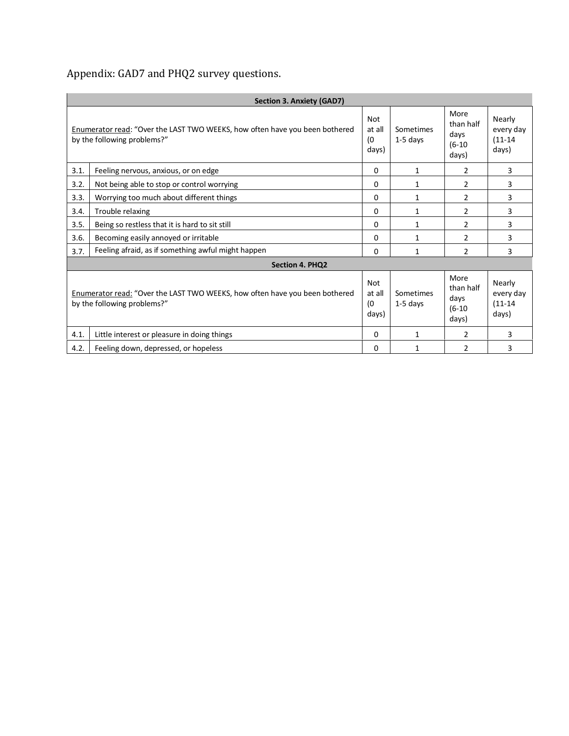Appendix: GAD7 and PHQ2 survey questions.

| <b>Section 3. Anxiety (GAD7)</b>                                                                                  |                                                    |                               |                         |                                                |                                             |  |  |  |  |  |
|-------------------------------------------------------------------------------------------------------------------|----------------------------------------------------|-------------------------------|-------------------------|------------------------------------------------|---------------------------------------------|--|--|--|--|--|
| Enumerator read: "Over the LAST TWO WEEKS, how often have you been bothered<br>by the following problems?"        |                                                    | Not<br>at all<br>(0<br>days)  | Sometimes<br>$1-5$ days | More<br>than half<br>days<br>$(6-10)$<br>days) | Nearly<br>every day<br>$(11 - 14)$<br>days) |  |  |  |  |  |
| 3.1.                                                                                                              | Feeling nervous, anxious, or on edge               | $\Omega$                      | 1                       | 2                                              | 3                                           |  |  |  |  |  |
| 3.2.                                                                                                              | Not being able to stop or control worrying         | $\Omega$                      | 1                       | $\overline{2}$                                 | 3                                           |  |  |  |  |  |
| 3.3.                                                                                                              | Worrying too much about different things           | $\Omega$                      | 1                       | $\overline{2}$                                 | 3                                           |  |  |  |  |  |
| 3.4.                                                                                                              | $\Omega$<br>Trouble relaxing<br>1                  |                               | 2                       | 3                                              |                                             |  |  |  |  |  |
| 3.5.                                                                                                              | Being so restless that it is hard to sit still     | $\Omega$                      | 1                       | 2                                              | 3                                           |  |  |  |  |  |
| 3.6.                                                                                                              | Becoming easily annoyed or irritable               | $\Omega$                      | $\mathbf{1}$            | $\mathcal{P}$                                  | 3                                           |  |  |  |  |  |
| 3.7.                                                                                                              | Feeling afraid, as if something awful might happen | $\Omega$                      | $\mathbf{1}$            | 2                                              | 3                                           |  |  |  |  |  |
| <b>Section 4. PHQ2</b>                                                                                            |                                                    |                               |                         |                                                |                                             |  |  |  |  |  |
| <b>Enumerator read: "Over the LAST TWO WEEKS, how often have you been bothered</b><br>by the following problems?" |                                                    | Not<br>at all<br>(0)<br>days) | Sometimes<br>$1-5$ days | More<br>than half<br>days<br>$(6-10)$<br>days) | Nearly<br>every day<br>$(11 - 14)$<br>days) |  |  |  |  |  |
| 4.1.                                                                                                              | Little interest or pleasure in doing things        | $\Omega$                      | 1                       | 2                                              | 3                                           |  |  |  |  |  |
| 4.2.                                                                                                              | Feeling down, depressed, or hopeless               |                               | $\mathbf{1}$            | $\overline{2}$                                 | 3                                           |  |  |  |  |  |